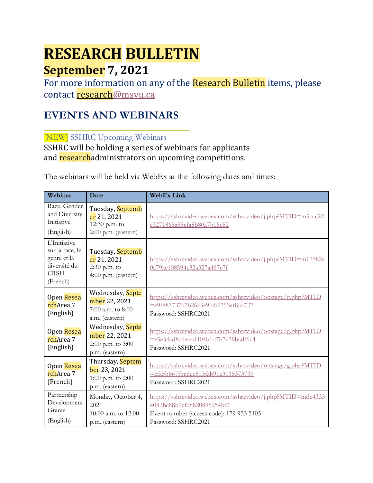# **RESEARCH BULLETIN September 7, 2021**

For more information on any of the Research Bulletin items, please contact [research@msvu.ca](mailto:research@msvu.ca)

## **EVENTS AND WEBINARS**

[NEW] SSHRC Upcoming Webinars

SSHRC will be holding a series of webinars for applicants and researchadministrators on upcoming competitions.

The webinars will be held via WebEx at the following dates and times:

| Webinar                                                                                          | Date                                                                     | <b>WebEx Link</b>                                                                                                                                           |  |
|--------------------------------------------------------------------------------------------------|--------------------------------------------------------------------------|-------------------------------------------------------------------------------------------------------------------------------------------------------------|--|
| Race, Gender<br>and Diversity<br>Initiative<br>(English)                                         | Tuesday, Septemb<br>er 21, 2021<br>12:30 p.m. to<br>2:00 p.m. (eastern)  | https://sshrcvideo.webex.com/sshrcvideo/j.php?MTID=m3ccc22<br>e3271868a88cfa8b80a7b15e82                                                                    |  |
| <b>L'Initiative</b><br>sur la race, le<br>genre et la<br>diversité du<br><b>CRSH</b><br>(French) | Tuesday, Septemb<br>er 21, 2021<br>$2:30$ p.m. to<br>4:00 p.m. (eastern) | https://sshrcvideo.webex.com/sshrcvideo/j.php?MTID=m17582a<br>0a79ae108594c32a327a467e7f                                                                    |  |
| Open Resea<br>rchArea 7<br>(English)                                                             | Wednesday, Septe<br>mber 22, 2021<br>7:00 a.m. to 8:00<br>a.m. (eastern) | https://sshrcvideo.webex.com/sshrcvideo/onstage/g.php?MTID<br>=e9f88373767b26a3e9fcb5753af8bc737<br>Password: SSHRC2021                                     |  |
| Open Resea<br>rchArea 7<br>(English)                                                             | Wednesday, Septe<br>mber 22, 2021<br>2:00 p.m. to 3:00<br>p.m. (eastern) | https://sshrcvideo.webex.com/sshrcvideo/onstage/g.php?MTID<br>=e5e54cd8c6ea4d404b1d7b7c29badf6c4<br>Password: SSHRC2021                                     |  |
| Open Resea<br>rchArea 7<br>(French)                                                              | Thursday, Septem<br>ber 23, 2021<br>1:00 p.m. to 2:00<br>p.m. (eastern)  | https://sshrcvideo.webex.com/sshrcvideo/onstage/g.php?MTID<br>=efa5bb67fbcdee513fab91e3015373739<br>Password: SSHRC2021                                     |  |
| Partnership<br>Development<br>Grants<br>(English)                                                | Monday, October 4,<br>2021<br>10:00 a.m. to 12:00<br>p.m. (eastern)      | https://sshrcvideo.webex.com/sshrcvideo/j.php?MTID=mdc4333<br>4082be88b9ef28820895254be7<br>Event number (access code): 179 953 5105<br>Password: SSHRC2021 |  |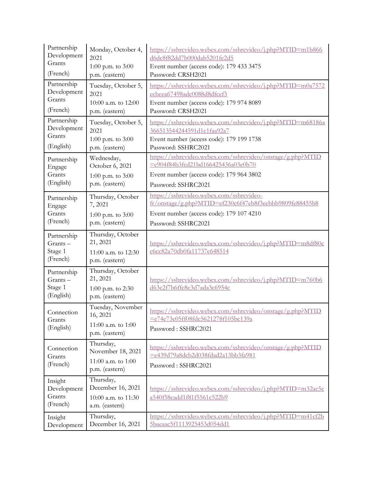| Partnership                                    | Monday, October 4,                                                      | https://sshrcvideo.webex.com/sshrcvideo/j.php?MTID=m1b866                                                               |  |
|------------------------------------------------|-------------------------------------------------------------------------|-------------------------------------------------------------------------------------------------------------------------|--|
| Development                                    | 2021                                                                    | d6dc8f82dd7b000dab5201fe2d5                                                                                             |  |
| Grants                                         | 1:00 p.m. to 3:00                                                       | Event number (access code): 179 433 3475                                                                                |  |
| (French)                                       | p.m. (eastern)                                                          | Password: CRSH2021                                                                                                      |  |
| Partnership                                    | Tuesday, October 5,                                                     | https://sshrcvideo.webex.com/sshrcvideo/j.php?MTID=m0a7572                                                              |  |
| Development                                    | 2021                                                                    | ecbeea67498adc0088d8dfcef3                                                                                              |  |
| Grants                                         | 10:00 a.m. to 12:00                                                     | Event number (access code): 179 974 8089                                                                                |  |
| (French)                                       | p.m. (eastern)                                                          | Password: CRSH2021                                                                                                      |  |
| Partnership                                    | Tuesday, October 5,                                                     | https://sshrcvideo.webex.com/sshrcvideo/j.php?MTID=m68186a                                                              |  |
| Development                                    | 2021                                                                    | 366513544244591d1c1faa92a7                                                                                              |  |
| Grants                                         | 1:00 p.m. to 3:00                                                       | Event number (access code): 179 199 1738                                                                                |  |
| (English)                                      | p.m. (eastern)                                                          | Password: SSHRC2021                                                                                                     |  |
| Partnership                                    | Wednesday,                                                              | https://sshrcvideo.webex.com/sshrcvideo/onstage/g.php?MTID                                                              |  |
| Engage                                         | October 6, 2021                                                         | =e904f84b3fcd21bd166425436a03e0b70                                                                                      |  |
| Grants                                         | 1:00 p.m. to $3:00$                                                     | Event number (access code): 179 964 3802                                                                                |  |
| (English)                                      | p.m. (eastern)                                                          | Password: SSHRC2021                                                                                                     |  |
| Partnership                                    | Thursday, October                                                       | https://sshrcvideo.webex.com/sshrcvideo-                                                                                |  |
| Engage                                         | 7,2021                                                                  | fr/onstage/g.php?MTID=ef230c6f47eb8f3eebbb9809fe88455b8                                                                 |  |
| Grants                                         | 1:00 p.m. to $3:00$                                                     | Event number (access code): 179 107 4210                                                                                |  |
| (French)                                       | p.m. (eastern)                                                          | Password: SSHRC2021                                                                                                     |  |
| Partnership<br>Grants-<br>Stage 1<br>(French)  | Thursday, October<br>21, 2021<br>11:00 a.m. to 12:30<br>p.m. (eastern)  | https://sshrcvideo.webex.com/sshrcvideo/j.php?MTID=m8df80c<br>c6cc82a70db0fa11737c648514                                |  |
| Partnership<br>Grants-<br>Stage 1<br>(English) | Thursday, October<br>21, 2021<br>1:00 p.m. to 2:30<br>p.m. (eastern)    | https://sshrcvideo.webex.com/sshrcvideo/j.php?MTID=m760b6<br>d63c2f7b6ffc8e3d7ada3c6954c                                |  |
| Connection<br>Grants<br>(English)              | Tuesday, November<br>16, 2021<br>11:00 a.m. to 1:00<br>p.m. (eastern)   | https://sshrcvideo.webex.com/sshrcvideo/onstage/g.php?MTID<br>=e74e73e05ff08fde5621278f105bc139a<br>Password: SSHRC2021 |  |
| Connection<br>Grants<br>(French)               | Thursday,<br>November 18, 2021<br>11:00 a.m. to 1:00<br>p.m. (eastern)  | https://sshrcvideo.webex.com/sshrcvideo/onstage/g.php?MTID<br>=e439d79a8dcb2d038fdad2a13bb3fa981<br>Password: SSHRC2021 |  |
| Insight<br>Development<br>Grants<br>(French)   | Thursday,<br>December 16, 2021<br>10:00 a.m. to 11:30<br>a.m. (eastern) | https://sshrcvideo.webex.com/sshrcvideo/j.php?MTID=m32ac5c<br>a540f58cadd1f81f5561c522b9                                |  |
| Insight                                        | Thursday,                                                               | https://sshrcvideo.webex.com/sshrcvideo/j.php?MTID=m41cf2b                                                              |  |
| Development                                    | December 16, 2021                                                       | 5baeaac5f1113925453d054dd1                                                                                              |  |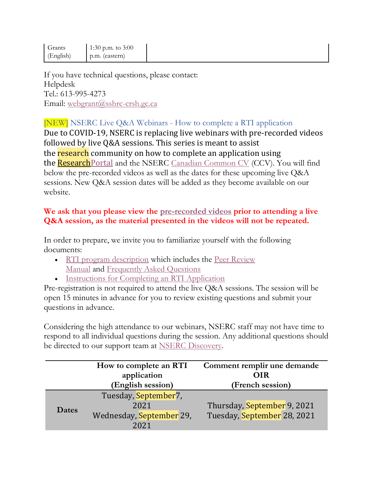| Grants<br>(English) | 1:30 p.m. to $3:00$<br>p.m. (eastern) |  |
|---------------------|---------------------------------------|--|
|                     |                                       |  |

If you have technical questions, please contact: Helpdesk Tel.: 613-995-4273 Email: [webgrant@sshrc-crsh.gc.ca](/ottanvdifs01/VDI_UserData/axt/AppData/Roaming/OpenText/OTEdit/enterprise-enterprise/c56073388/webgrant@sshrc-crsh.gc.ca)

## [NEW] NSERC Live Q&A Webinars - How to complete a RTI application

Due to COVID-19, NSERC is replacing live webinars with pre-recorded videos followed by live Q&A sessions. This series is meant to assist the research community on how to complete an application using the **Research**Portal and the NSERC [Canadian Common CV](https://ccv-cvc.ca/) (CCV). You will find below the pre-recorded videos as well as the dates for these upcoming live Q&A sessions. New Q&A session dates will be added as they become available on our website.

#### **We ask that you please view the [pre-recorded videos](https://www.youtube.com/playlist?list=PL6ox0GB7vXYnVnGUKq96dmP9_mCos23IR) prior to attending a live Q&A session, as the material presented in the videos will not be repeated.**

In order to prepare, we invite you to familiarize yourself with the following documents:

- [RTI program description](http://www.nserc-crsng.gc.ca/Professors-Professeurs/RTII-OIRI/RTI-OIR_eng.asp) which includes the Peer Review [Manual](http://www.nserc-crsng.gc.ca/_doc/Reviewers-Examinateurs/RTI-OIR_eng.pdf) and [Frequently Asked Questions](http://www.nserc-crsng.gc.ca/_doc/Reviewers-Examinateurs/RTIFAQ-OIRFAQ_eng.pdf)
- [Instructions for Completing an RTI Application](http://www.nserc-crsng.gc.ca/ResearchPortal-PortailDeRecherche/Instructions-Instructions/RTIInstruct-SOIInstruct_eng.asp)

Pre-registration is not required to attend the live Q&A sessions. The session will be open 15 minutes in advance for you to review existing questions and submit your questions in advance.

Considering the high attendance to our webinars, NSERC staff may not have time to respond to all individual questions during the session. Any additional questions should be directed to our support team at [NSERC Discovery.](mailto:NSERC%20Discovery%20-%20Découverte%20CRSNG%20%3cRESGRANT@NSERC-CRSNG.GC.CA%3e)

|       | How to complete an RTI<br>application<br>(English session)       | Comment remplir une demande<br><b>OIR</b><br>(French session) |
|-------|------------------------------------------------------------------|---------------------------------------------------------------|
| Dates | Tuesday, September7,<br>2021<br>Wednesday, September 29,<br>2021 | Thursday, September 9, 2021<br>Tuesday, September 28, 2021    |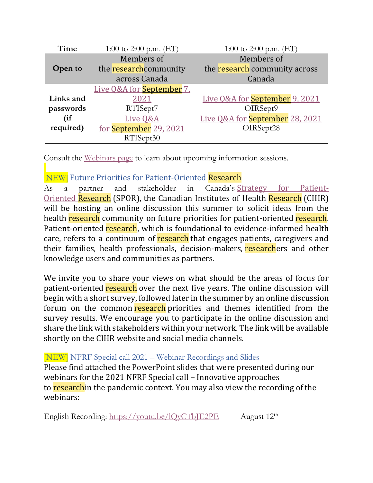| Time       | 1:00 to 2:00 p.m. $(ET)$         | 1:00 to 2:00 p.m. $(ET)$              |
|------------|----------------------------------|---------------------------------------|
| Members of |                                  | Members of                            |
| Open to    | the research community           | the research community across         |
|            | across Canada                    | Canada                                |
|            | Live O&A for <b>September</b> 7. |                                       |
| Links and  | 2021                             | Live Q&A for <b>September</b> 9, 2021 |
| passwords  | RTISept7                         | OIRSept9                              |
| (if        | Live Q&A                         | Live Q&A for September 28, 2021       |
| required)  | for September 29, 2021           | OIRSept28                             |
|            | RTISept30                        |                                       |

Consult the [Webinars page](http://www.nserc-crsng.gc.ca/ResearchPortal-PortailDeRecherche/RP-CCV-Webinar_eng.asp) to learn about upcoming information sessions.

## [NEW] Future Priorities for Patient-Oriented Research

As a partner and stakeholder in Canada's [Strategy for Patient-](https://cihr-irsc.gc.ca/e/41204.html)Oriented [Research](https://cihr-irsc.gc.ca/e/41204.html) (SPOR), the Canadian Institutes of Health Research (CIHR) will be hosting an online discussion this summer to solicit ideas from the health research community on future priorities for patient-oriented research. Patient-oriented research, which is foundational to evidence-informed health care, refers to a continuum of research that engages patients, caregivers and their families, health professionals, decision-makers, researchers and other knowledge users and communities as partners.

We invite you to share your views on what should be the areas of focus for patient-oriented research over the next five years. The online discussion will begin with a short survey, followed later in the summer by an online discussion forum on the common research priorities and themes identified from the survey results. We encourage you to participate in the online discussion and share the link with stakeholders within your network. The link will be available shortly on the CIHR website and social media channels.

#### [NEW] NFRF Special call 2021 – Webinar Recordings and Slides

Please find attached the PowerPoint slides that were presented during our webinars for the 2021 NFRF Special call – Innovative approaches to researchin the pandemic context. You may also view the recording of the webinars:

English Recording: [https://youtu.be/lQyCTbJE2PE](https://can01.safelinks.protection.outlook.com/?url=https%3A%2F%2Fyoutu.be%2FlQyCTbJE2PE&data=04%7C01%7CMarie-Claude.Jobin%40chairs-chaires.gc.ca%7Cfb083be55d134f8ee1dd08d96246d727%7Cfbef079820e34be7bdc8372032610f65%7C1%7C0%7C637648878659114309%7CUnknown%7CTWFpbGZsb3d8eyJWIjoiMC4wLjAwMDAiLCJQIjoiV2luMzIiLCJBTiI6Ik1haWwiLCJXVCI6Mn0%3D%7C1000&sdata=YgGc6Nb5ZTQm%2Bpk4rsC42fbIcOBwZWFfUCn7h8zhtlI%3D&reserved=0) August 12th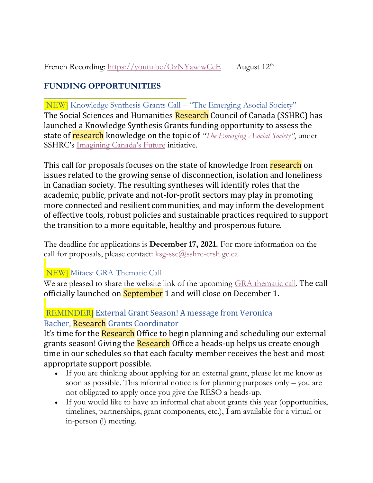## **FUNDING OPPORTUNITIES**

[NEW] Knowledge Synthesis Grants Call – "The Emerging Asocial Society" The Social Sciences and Humanities Research Council of Canada (SSHRC) has launched a Knowledge Synthesis Grants funding opportunity to assess the state of research knowledge on the topic of *"[The Emerging Asocial Society](https://can01.safelinks.protection.outlook.com/?url=https%3A%2F%2Fwww.sshrc-crsh.gc.ca%2Ffunding-financement%2Fprograms-programmes%2Fksg_asocial_society-ssc_societe_asociale-eng.aspx&data=04%7C01%7CPPOD-DPOP%40SSHRC-CRSH.GC.CA%7C68a060fb49364800f49f08d96e1e657b%7Cfbef079820e34be7bdc8372032610f65%7C1%7C0%7C637661899089622565%7CUnknown%7CTWFpbGZsb3d8eyJWIjoiMC4wLjAwMDAiLCJQIjoiV2luMzIiLCJBTiI6Ik1haWwiLCJXVCI6Mn0%3D%7C1000&sdata=Z%2FL4CyM5kROljwNtt5EhbxPWIqvNx1sm7E2SFPspI9A%3D&reserved=0)"*, under SSHRC's [Imagining Canada's Future](https://can01.safelinks.protection.outlook.com/?url=https%3A%2F%2Fwww.sshrc-crsh.gc.ca%2Fsociety-societe%2Fcommunity-communite%2FImagining_Canadas_Future-Imaginer_l_avenir_du_Canada-eng.aspx&data=04%7C01%7CPPOD-DPOP%40SSHRC-CRSH.GC.CA%7C68a060fb49364800f49f08d96e1e657b%7Cfbef079820e34be7bdc8372032610f65%7C1%7C0%7C637661899089632509%7CUnknown%7CTWFpbGZsb3d8eyJWIjoiMC4wLjAwMDAiLCJQIjoiV2luMzIiLCJBTiI6Ik1haWwiLCJXVCI6Mn0%3D%7C1000&sdata=sgWB3C12NjQt8uNGubT%2FHAMFUWqMJ%2Bc%2FjMExRiN5TX4%3D&reserved=0) initiative.

This call for proposals focuses on the state of knowledge from research on issues related to the growing sense of disconnection, isolation and loneliness in Canadian society. The resulting syntheses will identify roles that the academic, public, private and not-for-profit sectors may play in promoting more connected and resilient communities, and may inform the development of effective tools, robust policies and sustainable practices required to support the transition to a more equitable, healthy and prosperous future.

The deadline for applications is **December 17, 2021.** For more information on the call for proposals, please contact:  $\frac{kg\text{-}ssc(0)\text{s}shrc\text{-}crsh.gc.ca.}$ 

## [NEW] Mitacs: GRA Thematic Call

We are pleased to share the website link of the upcoming [GRA thematic call](https://www.mitacs.ca/en/programs/globalink/globalink-thematic-call). The call officially launched on **September** 1 and will close on December 1.

## [REMINDER] External Grant Season! A message from Veronica Bacher, Research Grants Coordinator

It's time for the **Research** Office to begin planning and scheduling our external grants season! Giving the Research Office a heads-up helps us create enough time in our schedules so that each faculty member receives the best and most appropriate support possible.

- If you are thinking about applying for an external grant, please let me know as soon as possible. This informal notice is for planning purposes only – you are not obligated to apply once you give the RESO a heads-up.
- If you would like to have an informal chat about grants this year (opportunities, timelines, partnerships, grant components, etc.), I am available for a virtual or in-person (!) meeting.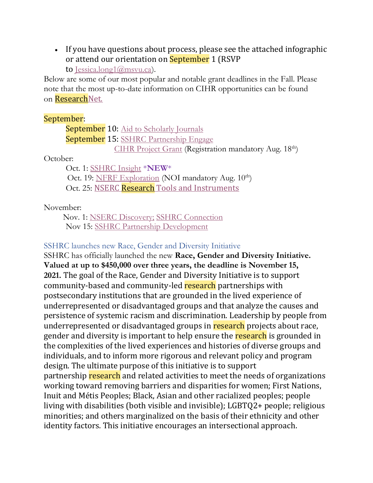• If you have questions about process, please see the attached infographic or attend our orientation on **September** 1 (RSVP

to [Jessica.long1@msvu.ca\)](mailto:Jessica.long1@msvu.ca).

Below are some of our most popular and notable grant deadlines in the Fall. Please note that the most up-to-date information on CIHR opportunities can be found on [ResearchNet.](https://researchnet-recherchenet.ca/rnr16/LoginServlet?language=E)

#### September:

**September 10:** [Aid to Scholarly Journals](https://www.sshrc-crsh.gc.ca/funding-financement/programs-programmes/scholarly_journals-revues_savantes-eng.aspx) September 15: [SSHRC Partnership Engage](https://www.sshrc-crsh.gc.ca/funding-financement/programs-programmes/partnership_engage_grants-subventions_d_engagement_partenarial-eng.aspx) [CIHR Project Grant](https://www.researchnet-recherchenet.ca/rnr16/vwOpprtntyDtls.do?progCd=11131&language=E&org=CIHR) (Registration mandatory Aug. 18<sup>th</sup>)

#### October:

Oct. 1: [SSHRC Insight](https://www.sshrc-crsh.gc.ca/funding-financement/programs-programmes/insight_grants-subventions_savoir-eng.aspx) \***NEW**\*

Oct. 19: [NFRF Exploration](https://www.sshrc-crsh.gc.ca/funding-financement/nfrf-fnfr/exploration/2021/competition-concours-eng.aspx) (NOI mandatory Aug. 10<sup>th</sup>)

Oct. 25: NSERC Research [Tools and Instruments](https://www.nserc-crsng.gc.ca/Professors-Professeurs/RTII-OIRI/RTI-OIR_eng.asp)

November:

 Nov. 1: [NSERC Discovery;](https://www.nserc-crsng.gc.ca/Professors-Professeurs/Grants-Subs/DGIGP-PSIGP_eng.asp) [SSHRC Connection](https://www.sshrc-crsh.gc.ca/funding-financement/programs-programmes/connection_grants-subventions_connexion-eng.aspx) Nov 15: [SSHRC Partnership Development](https://www.sshrc-crsh.gc.ca/funding-financement/programs-programmes/partnership_development_grants-subventions_partenariat_developpement-eng.aspx)

### SSHRC launches new Race, Gender and Diversity Initiative

SSHRC has officially launched the new **Race, Gender and Diversity Initiative. Valued at up to \$450,000 over three years, the deadline is November 15, 2021.** The goal of the Race, Gender and Diversity Initiative is to support community-based and community-led research partnerships with postsecondary institutions that are grounded in the lived experience of underrepresented or disadvantaged groups and that analyze the causes and persistence of systemic racism and discrimination. Leadership by people from underrepresented or disadvantaged groups in research projects about race, gender and diversity is important to help ensure the research is grounded in the complexities of the lived experiences and histories of diverse groups and individuals, and to inform more rigorous and relevant policy and program design. The ultimate purpose of this initiative is to support partnership research and related activities to meet the needs of organizations working toward removing barriers and disparities for women; First Nations, Inuit and Métis Peoples; Black, Asian and other racialized peoples; people living with disabilities (both visible and invisible); LGBTQ2+ people; religious minorities; and others marginalized on the basis of their ethnicity and other identity factors. This initiative encourages an intersectional approach.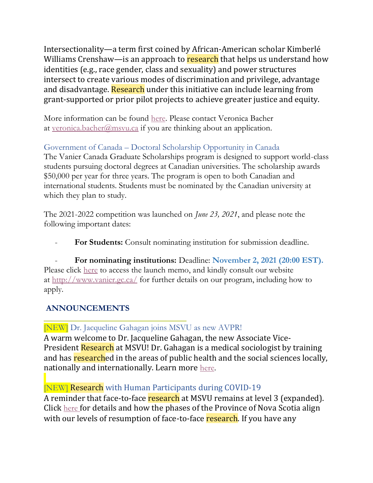Intersectionality—a term first coined by African-American scholar Kimberlé Williams Crenshaw—is an approach to research that helps us understand how identities (e.g., race gender, class and sexuality) and power structures intersect to create various modes of discrimination and privilege, advantage and disadvantage. Research under this initiative can include learning from grant-supported or prior pilot projects to achieve greater justice and equity.

More information can be found [here.](https://www.sshrc-crsh.gc.ca/funding-financement/programs-programmes/rgdi-irgd-eng.aspx) Please contact Veronica Bacher at [veronica.bacher@msvu.ca](mailto:veronica.bacher@msvu.ca) if you are thinking about an application.

## Government of Canada – Doctoral Scholarship Opportunity in Canada

The Vanier Canada Graduate Scholarships program is designed to support world-class students pursuing doctoral degrees at Canadian universities. The scholarship awards \$50,000 per year for three years. The program is open to both Canadian and international students. Students must be nominated by the Canadian university at which they plan to study.

The 2021-2022 competition was launched on *June 23, 2021*, and please note the following important dates:

For Students: Consult nominating institution for submission deadline.

- **For nominating institutions:** Deadline: **November 2, 2021 (20:00 EST).** Please click [here](https://vanier.gc.ca/en/news-nouv_2021-22.html) to access the launch memo, and kindly consult our website at <http://www.vanier.gc.ca/> for further details on our program, including how to apply.

## **ANNOUNCEMENTS**

## [NEW] Dr. Jacqueline Gahagan joins MSVU as new AVPR!

A warm welcome to Dr. Jacqueline Gahagan, the new Associate Vice-President Research at MSVU! Dr. Gahagan is a medical sociologist by training and has researched in the areas of public health and the social sciences locally, nationally and internationally. Learn more [here.](https://msvu.ca/dr-jacqueline-gahagan-joins-msvu-as-new-associate-vice-president-research)

## [NEW] Research with Human Participants during COVID-19

A reminder that face-to-face research at MSVU remains at level 3 (expanded). Click [here](https://www.msvu.ca/wp-content/uploads/2021/07/Current-COVID-Research-Status-July-14-2021.pdf) for details and how the phases of the Province of Nova Scotia align with our levels of resumption of face-to-face research. If you have any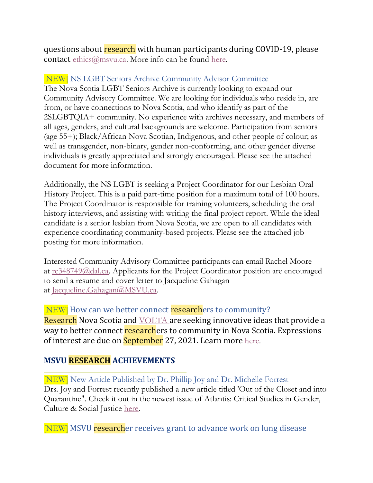questions about research with human participants during COVID-19, please contact [ethics@msvu.ca.](mailto:ethics@msvu.ca) More info can be found [here.](https://www.msvu.ca/research-at-the-mount/research-ethics/covid-19-research-information/)

#### [NEW] NS LGBT Seniors Archive Community Advisor Committee

The Nova Scotia LGBT Seniors Archive is currently looking to expand our Community Advisory Committee. We are looking for individuals who reside in, are from, or have connections to Nova Scotia, and who identify as part of the 2SLGBTQIA+ community. No experience with archives necessary, and members of all ages, genders, and cultural backgrounds are welcome. Participation from seniors (age 55+); Black/African Nova Scotian, Indigenous, and other people of colour; as well as transgender, non-binary, gender non-conforming, and other gender diverse individuals is greatly appreciated and strongly encouraged. Please see the attached document for more information.

Additionally, the NS LGBT is seeking a Project Coordinator for our Lesbian Oral History Project. This is a paid part-time position for a maximum total of 100 hours. The Project Coordinator is responsible for training volunteers, scheduling the oral history interviews, and assisting with writing the final project report. While the ideal candidate is a senior lesbian from Nova Scotia, we are open to all candidates with experience coordinating community-based projects. Please see the attached job posting for more information.

Interested Community Advisory Committee participants can email Rachel Moore at [rc348749@dal.ca.](mailto:rc348749@dal.ca) Applicants for the Project Coordinator position are encouraged to send a resume and cover letter to Jacqueline Gahagan at [Jacqueline.Gahagan@MSVU.ca.](mailto:Jacqueline.Gahagan@MSVU.ca)

[NEW] How can we better connect researchers to community? Research Nova Scotia and **[VOLTA](https://voltaeffect.com/)** are seeking innovative ideas that provide a way to better connect researchers to community in Nova Scotia. Expressions of interest are due on **September** 27, 2021. Learn more [here.](https://researchns.ca/studentchallenge-data/)

#### **MSVU RESEARCH ACHIEVEMENTS**

[NEW] New Article Published by Dr. Phillip Joy and Dr. Michelle Forrest Drs. Joy and Forrest recently published a new article titled 'Out of the Closet and into Quarantine". Check it out in the newest issue of Atlantis: Critical Studies in Gender, Culture & Social Justice [here.](https://journals.msvu.ca/index.php/atlantis/article/view/5556)

[NEW] MSVU researcher receives grant to advance work on lung disease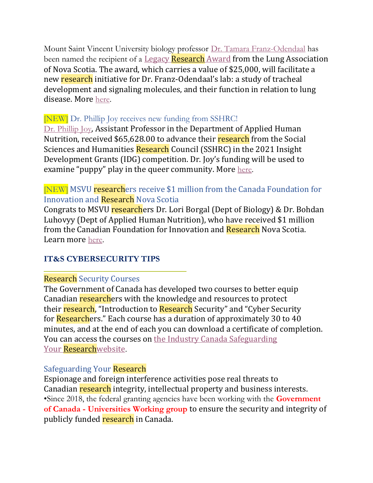Mount Saint Vincent University biology professor [Dr. Tamara Franz-Odendaal](https://www.msvu.ca/academics/bachelor-of-science-bsc/biology/faculty/tamara-a-franz-odendaal/) has been named the recipient of a Legacy [Research](https://ns.lung.ca/legacy-research-grant) Award from the Lung Association of Nova Scotia. The award, which carries a value of \$25,000, will facilitate a new research initiative for Dr. Franz-Odendaal's lab: a study of tracheal development and signaling molecules, and their function in relation to lung disease. More [here.](https://www.msvu.ca/msvu-researcher-receives-grant-to-advance-work-on-lung-disease/)

## [NEW] Dr. Phillip Joy receives new funding from SSHRC!

[Dr. Phillip Joy](https://www.msvu.ca/academics/professional-studies-at-the-mount/bsc-applied-human-nutrition/faculty-profiles/phillip-joy-2/), Assistant Professor in the Department of Applied Human Nutrition, received \$65,628.00 to advance their research from the Social Sciences and Humanities Research Council (SSHRC) in the 2021 Insight Development Grants (IDG) competition. Dr. Joy's funding will be used to examine "puppy" play in the queer community. More [here.](https://www.msvu.ca/dr-phillip-joy-receives-new-funding-from-the-social-sciences-and-humanities-research-council/)

## [NEW] MSVU researchers receive \$1 million from the Canada Foundation for Innovation and Research Nova Scotia

Congrats to MSVU researchers Dr. Lori Borgal (Dept of Biology) & Dr. Bohdan Luhovyy (Dept of Applied Human Nutrition), who have received \$1 million from the Canadian Foundation for Innovation and Research Nova Scotia. Learn more [here.](https://msvu.ca/msvu-researchers-receive-1-million-from-the-canada-foundation-for-innovation-cfi-and-research-nova-scotia/…)

## **IT&S CYBERSECURITY TIPS**

## Research Security Courses

The Government of Canada has developed two courses to better equip Canadian researchers with the knowledge and resources to protect their research, "Introduction to Research Security" and "Cyber Security" for **Research**ers." Each course has a duration of approximately 30 to 40 minutes, and at the end of each you can download a certificate of completion. You can access the courses on [the Industry Canada Safeguarding](https://www.ic.gc.ca/eic/site/063.nsf/eng/h_98282.html)  Your [Researchwebsite](https://www.ic.gc.ca/eic/site/063.nsf/eng/h_98282.html).

## Safeguarding Your Research

Espionage and foreign interference activities pose real threats to Canadian research integrity, intellectual property and business interests. •Since 2018, the federal granting agencies have been working with the **Government of Canada - Universities Working group** to ensure the security and integrity of publicly funded research in Canada.